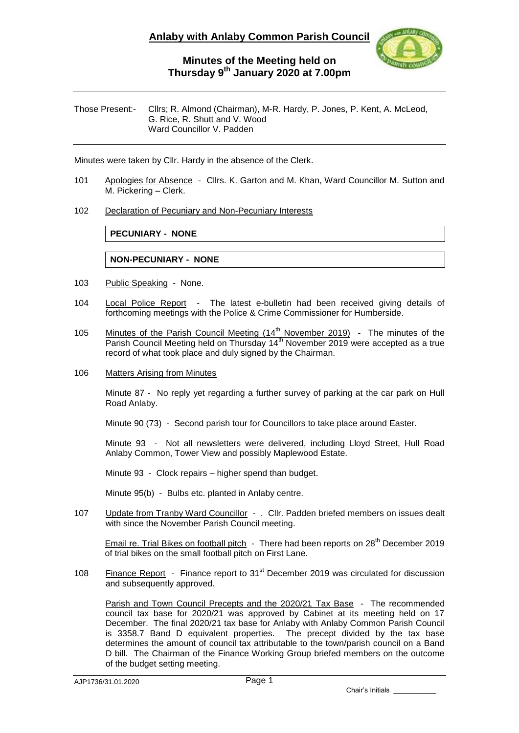

## **Minutes of the Meeting held on Thursday 9 th January 2020 at 7.00pm**

Those Present:- Cllrs; R. Almond (Chairman), M-R. Hardy, P. Jones, P. Kent, A. McLeod, G. Rice, R. Shutt and V. Wood Ward Councillor V. Padden

Minutes were taken by Cllr. Hardy in the absence of the Clerk.

- 101 Apologies for Absence Cllrs. K. Garton and M. Khan, Ward Councillor M. Sutton and M. Pickering – Clerk.
- 102 Declaration of Pecuniary and Non-Pecuniary Interests

**PECUNIARY - NONE**

### **NON-PECUNIARY - NONE**

- 103 Public Speaking None.
- 104 Local Police Report The latest e-bulletin had been received giving details of forthcoming meetings with the Police & Crime Commissioner for Humberside.
- 105 Minutes of the Parish Council Meeting (14<sup>th</sup> November 2019) The minutes of the Parish Council Meeting held on Thursday 14<sup>th</sup> November 2019 were accepted as a true record of what took place and duly signed by the Chairman.
- 106 Matters Arising from Minutes

Minute 87 - No reply yet regarding a further survey of parking at the car park on Hull Road Anlaby.

Minute 90 (73) - Second parish tour for Councillors to take place around Easter.

Minute 93 - Not all newsletters were delivered, including Lloyd Street, Hull Road Anlaby Common, Tower View and possibly Maplewood Estate.

Minute 93 - Clock repairs – higher spend than budget.

Minute 95(b) - Bulbs etc. planted in Anlaby centre.

107 Update from Tranby Ward Councillor - . Cllr. Padden briefed members on issues dealt with since the November Parish Council meeting.

Email re. Trial Bikes on football pitch - There had been reports on 28<sup>th</sup> December 2019 of trial bikes on the small football pitch on First Lane.

108 Finance Report - Finance report to 31<sup>st</sup> December 2019 was circulated for discussion and subsequently approved.

Parish and Town Council Precepts and the 2020/21 Tax Base - The recommended council tax base for 2020/21 was approved by Cabinet at its meeting held on 17 December. The final 2020/21 tax base for Anlaby with Anlaby Common Parish Council is 3358.7 Band D equivalent properties. The precept divided by the tax base determines the amount of council tax attributable to the town/parish council on a Band D bill. The Chairman of the Finance Working Group briefed members on the outcome of the budget setting meeting.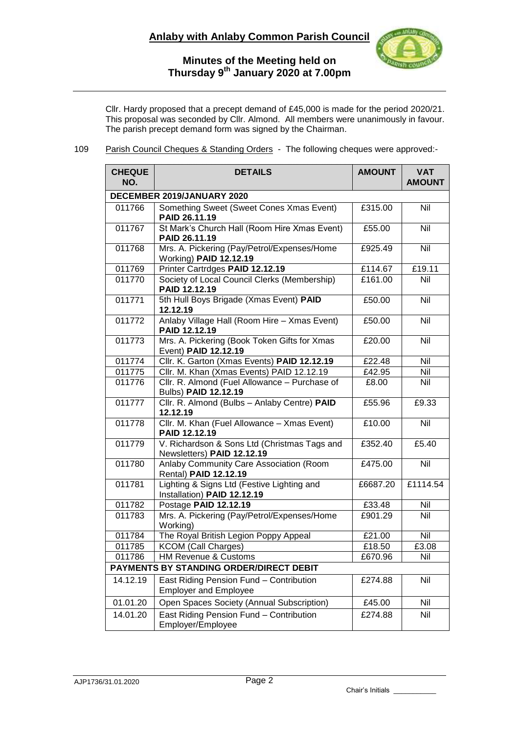# **Anlaby with Anlaby Common Parish Council**



### **Minutes of the Meeting held on Thursday 9 th January 2020 at 7.00pm**

Cllr. Hardy proposed that a precept demand of £45,000 is made for the period 2020/21. This proposal was seconded by Cllr. Almond. All members were unanimously in favour. The parish precept demand form was signed by the Chairman.

109 Parish Council Cheques & Standing Orders - The following cheques were approved:-

| <b>CHEQUE</b><br>NO.                    | <b>DETAILS</b>                                                             | <b>AMOUNT</b> | <b>VAT</b><br><b>AMOUNT</b> |
|-----------------------------------------|----------------------------------------------------------------------------|---------------|-----------------------------|
| DECEMBER 2019/JANUARY 2020              |                                                                            |               |                             |
| 011766                                  | Something Sweet (Sweet Cones Xmas Event)<br>PAID 26.11.19                  | £315.00       | Nil                         |
| 011767                                  | St Mark's Church Hall (Room Hire Xmas Event)<br>PAID 26.11.19              | £55.00        | Nil                         |
| 011768                                  | Mrs. A. Pickering (Pay/Petrol/Expenses/Home)<br>Working) PAID 12.12.19     | £925.49       | Nil                         |
| 011769                                  | Printer Cartrdges PAID 12.12.19                                            | £114.67       | £19.11                      |
| 011770                                  | Society of Local Council Clerks (Membership)<br>PAID 12.12.19              | £161.00       | Nil                         |
| 011771                                  | 5th Hull Boys Brigade (Xmas Event) PAID<br>12.12.19                        | £50.00        | $\overline{N}$              |
| 011772                                  | Anlaby Village Hall (Room Hire - Xmas Event)<br>PAID 12.12.19              | £50.00        | Nil                         |
| 011773                                  | Mrs. A. Pickering (Book Token Gifts for Xmas<br>Event) PAID 12.12.19       | £20.00        | Nil                         |
| 011774                                  | Cllr. K. Garton (Xmas Events) PAID 12.12.19                                | £22.48        | Nil                         |
| 011775                                  | Cllr. M. Khan (Xmas Events) PAID 12.12.19                                  | £42.95        | Nil                         |
| 011776                                  | Cllr. R. Almond (Fuel Allowance - Purchase of<br>Bulbs) PAID 12.12.19      | £8.00         | Nil                         |
| 011777                                  | Cllr. R. Almond (Bulbs - Anlaby Centre) PAID<br>12.12.19                   | £55.96        | £9.33                       |
| 011778                                  | Cllr. M. Khan (Fuel Allowance - Xmas Event)<br>PAID 12.12.19               | £10.00        | <b>Nil</b>                  |
| 011779                                  | V. Richardson & Sons Ltd (Christmas Tags and<br>Newsletters) PAID 12.12.19 | £352.40       | £5.40                       |
| 011780                                  | Anlaby Community Care Association (Room<br>Rental) PAID 12.12.19           | £475.00       | Nil                         |
| 011781                                  | Lighting & Signs Ltd (Festive Lighting and<br>Installation) PAID 12.12.19  | £6687.20      | £1114.54                    |
| 011782                                  | Postage PAID 12.12.19                                                      | £33.48        | Nil                         |
| 011783                                  | Mrs. A. Pickering (Pay/Petrol/Expenses/Home<br>Working)                    | £901.29       | Nil                         |
| 011784                                  | The Royal British Legion Poppy Appeal                                      | £21.00        | Nil                         |
| 011785                                  | <b>KCOM</b> (Call Charges)                                                 | £18.50        | E3.08                       |
| 011786                                  | HM Revenue & Customs                                                       | £670.96       | Nil                         |
| PAYMENTS BY STANDING ORDER/DIRECT DEBIT |                                                                            |               |                             |
| 14.12.19                                | East Riding Pension Fund - Contribution<br><b>Employer and Employee</b>    | £274.88       | Nil                         |
| 01.01.20                                | Open Spaces Society (Annual Subscription)                                  | £45.00        | Nil                         |
| 14.01.20                                | East Riding Pension Fund - Contribution<br>Employer/Employee               | £274.88       | Nil                         |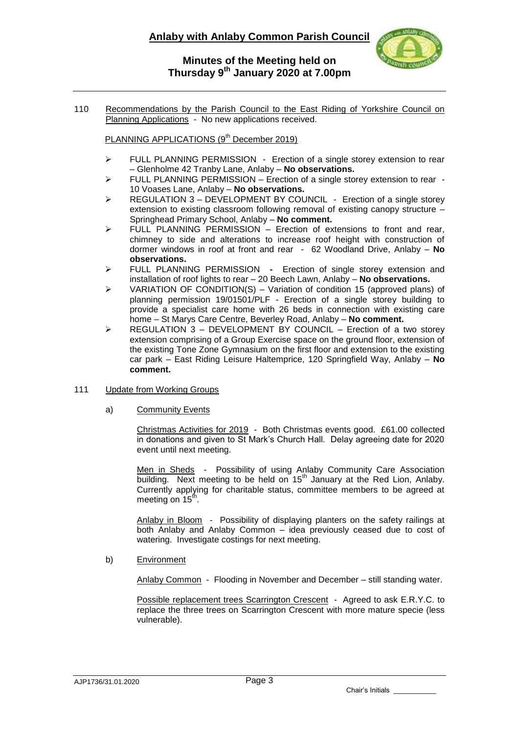## **Anlaby with Anlaby Common Parish Council**



### **Minutes of the Meeting held on Thursday 9 th January 2020 at 7.00pm**

110 Recommendations by the Parish Council to the East Riding of Yorkshire Council on Planning Applications - No new applications received.

PLANNING APPLICATIONS (9<sup>th</sup> December 2019)

- > FULL PLANNING PERMISSION Erection of a single storey extension to rear – Glenholme 42 Tranby Lane, Anlaby – **No observations.**
- $\triangleright$  FULL PLANNING PERMISSION Erection of a single storey extension to rear -10 Voases Lane, Anlaby – **No observations.**
- > REGULATION 3 DEVELOPMENT BY COUNCIL Erection of a single storey extension to existing classroom following removal of existing canopy structure – Springhead Primary School, Anlaby – **No comment.**
- $\triangleright$  FULL PLANNING PERMISSION Erection of extensions to front and rear, chimney to side and alterations to increase roof height with construction of dormer windows in roof at front and rear - 62 Woodland Drive, Anlaby – **No observations.**
- FULL PLANNING PERMISSIONErection of single storey extension and installation of roof lights to rear – 20 Beech Lawn, Anlaby – **No observations.**
- VARIATION OF CONDITION(S) Variation of condition 15 (approved plans) of planning permission 19/01501/PLF - Erection of a single storey building to provide a specialist care home with 26 beds in connection with existing care home – St Marys Care Centre, Beverley Road, Anlaby – **No comment.**
- $\triangleright$  REGULATION 3 DEVELOPMENT BY COUNCIL Erection of a two storey extension comprising of a Group Exercise space on the ground floor, extension of the existing Tone Zone Gymnasium on the first floor and extension to the existing car park – East Riding Leisure Haltemprice, 120 Springfield Way, Anlaby – **No comment.**
- 111 Update from Working Groups
	- a) Community Events

Christmas Activities for 2019 - Both Christmas events good. £61.00 collected in donations and given to St Mark's Church Hall. Delay agreeing date for 2020 event until next meeting.

Men in Sheds - Possibility of using Anlaby Community Care Association building. Next meeting to be held on 15<sup>th</sup> January at the Red Lion, Anlaby. Currently applying for charitable status, committee members to be agreed at meeting on  $15<sup>th</sup>$ .

Anlaby in Bloom - Possibility of displaying planters on the safety railings at both Anlaby and Anlaby Common – idea previously ceased due to cost of watering. Investigate costings for next meeting.

b) Environment

Anlaby Common - Flooding in November and December – still standing water.

Possible replacement trees Scarrington Crescent - Agreed to ask E.R.Y.C. to replace the three trees on Scarrington Crescent with more mature specie (less vulnerable).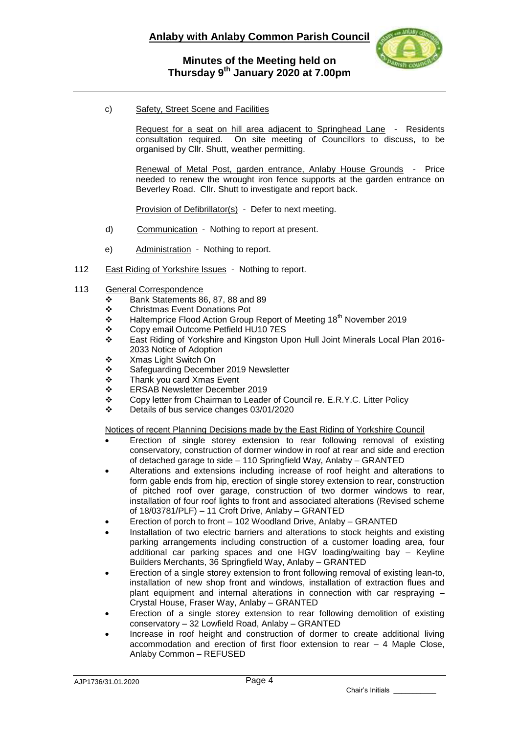

## **Minutes of the Meeting held on Thursday 9 th January 2020 at 7.00pm**

c) Safety, Street Scene and Facilities

Request for a seat on hill area adjacent to Springhead Lane - Residents consultation required. On site meeting of Councillors to discuss, to be organised by Cllr. Shutt, weather permitting.

Renewal of Metal Post, garden entrance, Anlaby House Grounds - Price needed to renew the wrought iron fence supports at the garden entrance on Beverley Road. Cllr. Shutt to investigate and report back.

Provision of Defibrillator(s) - Defer to next meeting.

- d) Communication Nothing to report at present.
- e) Administration Nothing to report.
- 112 East Riding of Yorkshire Issues Nothing to report.
- 113 General Correspondence
	- $\bullet$  Bank Statements 86, 87, 88 and 89<br>
	Christmas Event Donations Pot
	- ❖ Christmas Event Donations Pot<br>❖ Haltemprice Flood Action Group
	- Haltemprice Flood Action Group Report of Meeting 18<sup>th</sup> November 2019
	- Copy email Outcome Petfield HU10 7ES
	- East Riding of Yorkshire and Kingston Upon Hull Joint Minerals Local Plan 2016- 2033 Notice of Adoption
	- Xmas Light Switch On
	- Safeguarding December 2019 Newsletter
	- Thank you card Xmas Event
	- ERSAB Newsletter December 2019
	- Copy letter from Chairman to Leader of Council re. E.R.Y.C. Litter Policy
	- Details of bus service changes 03/01/2020

Notices of recent Planning Decisions made by the East Riding of Yorkshire Council

- Erection of single storey extension to rear following removal of existing conservatory, construction of dormer window in roof at rear and side and erection of detached garage to side – 110 Springfield Way, Anlaby – GRANTED
- Alterations and extensions including increase of roof height and alterations to form gable ends from hip, erection of single storey extension to rear, construction of pitched roof over garage, construction of two dormer windows to rear, installation of four roof lights to front and associated alterations (Revised scheme of 18/03781/PLF) – 11 Croft Drive, Anlaby – GRANTED
- Erection of porch to front 102 Woodland Drive, Anlaby GRANTED
- Installation of two electric barriers and alterations to stock heights and existing parking arrangements including construction of a customer loading area, four additional car parking spaces and one HGV loading/waiting bay – Keyline Builders Merchants, 36 Springfield Way, Anlaby – GRANTED
- Erection of a single storey extension to front following removal of existing lean-to, installation of new shop front and windows, installation of extraction flues and plant equipment and internal alterations in connection with car respraying – Crystal House, Fraser Way, Anlaby – GRANTED
- Erection of a single storey extension to rear following demolition of existing conservatory – 32 Lowfield Road, Anlaby – GRANTED
- Increase in roof height and construction of dormer to create additional living accommodation and erection of first floor extension to rear – 4 Maple Close, Anlaby Common – REFUSED